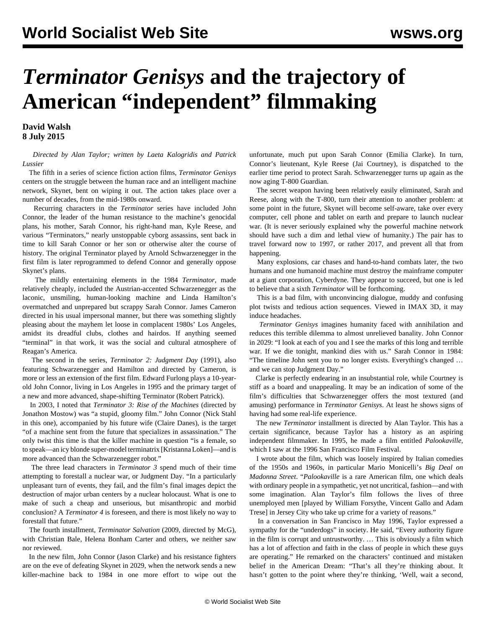## *Terminator Genisys* **and the trajectory of American "independent" filmmaking**

**David Walsh 8 July 2015**

## *Directed by Alan Taylor; written by Laeta Kalogridis and Patrick Lussier*

 The fifth in a series of science fiction action films, *Terminator Genisys* centers on the struggle between the human race and an intelligent machine network, Skynet, bent on wiping it out. The action takes place over a number of decades, from the mid-1980s onward.

 Recurring characters in the *Terminator* series have included John Connor, the leader of the human resistance to the machine's genocidal plans, his mother, Sarah Connor, his right-hand man, Kyle Reese, and various "Terminators," nearly unstoppable cyborg assassins, sent back in time to kill Sarah Connor or her son or otherwise alter the course of history. The original Terminator played by Arnold Schwarzenegger in the first film is later reprogrammed to defend Connor and generally oppose Skynet's plans.

 The mildly entertaining elements in the 1984 *Terminator*, made relatively cheaply, included the Austrian-accented Schwarzenegger as the laconic, unsmiling, human-looking machine and Linda Hamilton's overmatched and unprepared but scrappy Sarah Connor. James Cameron directed in his usual impersonal manner, but there was something slightly pleasing about the mayhem let loose in complacent 1980s' Los Angeles, amidst its dreadful clubs, clothes and hairdos. If anything seemed "terminal" in that work, it was the social and cultural atmosphere of Reagan's America.

 The second in the series, *Terminator 2: Judgment Day* (1991), also featuring Schwarzenegger and Hamilton and directed by Cameron, is more or less an extension of the first film. Edward Furlong plays a 10-yearold John Connor, living in Los Angeles in 1995 and the primary target of a new and more advanced, shape-shifting Terminator (Robert Patrick).

 In 2003, I noted that *Terminator 3: Rise of the Machines* (directed by Jonathon Mostow) was "a stupid, gloomy film." John Connor (Nick Stahl in this one), accompanied by his future wife (Claire Danes), is the target "of a machine sent from the future that specializes in assassination." The only twist this time is that the killer machine in question "is a female, so to speak—an icy blonde super-model terminatrix [Kristanna Loken]—and is more advanced than the Schwarzenegger robot."

 The three lead characters in *Terminator 3* spend much of their time attempting to forestall a nuclear war, or Judgment Day. "In a particularly unpleasant turn of events, they fail, and the film's final images depict the destruction of major urban centers by a nuclear holocaust. What is one to make of such a cheap and unserious, but misanthropic and morbid conclusion? A *Terminator 4* is foreseen, and there is most likely no way to forestall that future."

 The fourth installment, *Terminator Salvation* (2009, directed by McG), with Christian Bale, Helena Bonham Carter and others, we neither saw nor reviewed.

 In the new film, John Connor (Jason Clarke) and his resistance fighters are on the eve of defeating Skynet in 2029, when the network sends a new killer-machine back to 1984 in one more effort to wipe out the unfortunate, much put upon Sarah Connor (Emilia Clarke). In turn, Connor's lieutenant, Kyle Reese (Jai Courtney), is dispatched to the earlier time period to protect Sarah. Schwarzenegger turns up again as the now aging T-800 Guardian.

 The secret weapon having been relatively easily eliminated, Sarah and Reese, along with the T-800, turn their attention to another problem: at some point in the future, Skynet will become self-aware, take over every computer, cell phone and tablet on earth and prepare to launch nuclear war. (It is never seriously explained why the powerful machine network should have such a dim and lethal view of humanity.) The pair has to travel forward now to 1997, or rather 2017, and prevent all that from happening.

 Many explosions, car chases and hand-to-hand combats later, the two humans and one humanoid machine must destroy the mainframe computer at a giant corporation, Cyberdyne. They appear to succeed, but one is led to believe that a sixth *Terminator* will be forthcoming.

 This is a bad film, with unconvincing dialogue, muddy and confusing plot twists and tedious action sequences. Viewed in IMAX 3D, it may induce headaches.

 *Terminator Genisys* imagines humanity faced with annihilation and reduces this terrible dilemma to almost unrelieved banality. John Connor in 2029: "I look at each of you and I see the marks of this long and terrible war. If we die tonight, mankind dies with us." Sarah Connor in 1984: "The timeline John sent you to no longer exists. Everything's changed … and we can stop Judgment Day."

 Clarke is perfectly endearing in an insubstantial role, while Courtney is stiff as a board and unappealing. It may be an indication of some of the film's difficulties that Schwarzenegger offers the most textured (and amusing) performance in *Terminator Genisys*. At least he shows signs of having had some real-life experience.

 The new *Terminator* installment is directed by Alan Taylor. This has a certain significance, because Taylor has a history as an aspiring independent filmmaker. In 1995, he made a film entitled *Palookaville*, which I saw at the 1996 San Francisco Film Festival.

 I wrote about the [film](/en/articles/2002/08/ata-96.html), which was loosely inspired by Italian comedies of the 1950s and 1960s, in particular Mario Monicelli's *Big Deal on Madonna Street*. "*Palookaville* is a rare American film, one which deals with ordinary people in a sympathetic, yet not uncritical, fashion—and with some imagination. Alan Taylor's film follows the lives of three unemployed men [played by William Forsythe, Vincent Gallo and Adam Trese] in Jersey City who take up crime for a variety of reasons."

 In a conversation in San Francisco in May 1996, Taylor expressed a sympathy for the "underdogs" in society. He said, "Every authority figure in the film is corrupt and untrustworthy. … This is obviously a film which has a lot of affection and faith in the class of people in which these guys are operating." He remarked on the characters' continued and mistaken belief in the American Dream: "That's all they're thinking about. It hasn't gotten to the point where they're thinking, 'Well, wait a second,